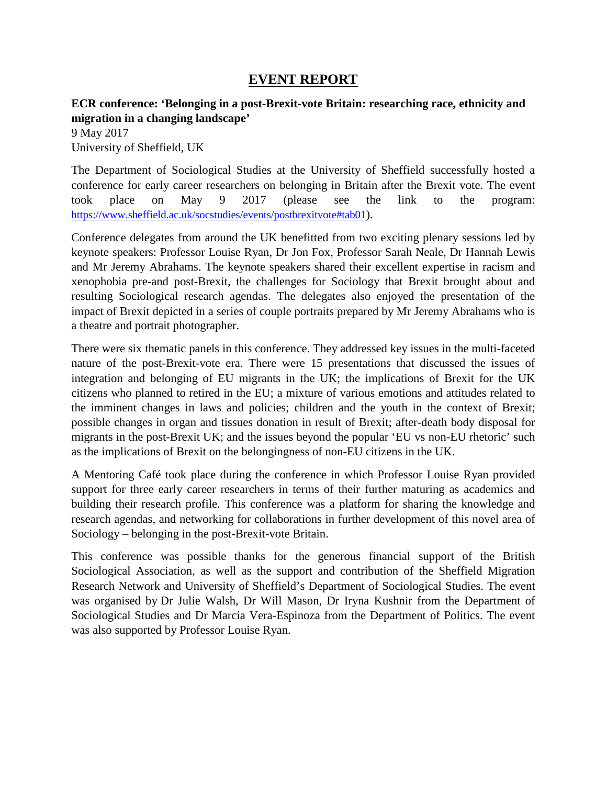## **EVENT REPORT**

## **ECR conference: 'Belonging in a post-Brexit-vote Britain: researching race, ethnicity and migration in a changing landscape'**

9 May 2017 University of Sheffield, UK

The Department of Sociological Studies at the University of Sheffield successfully hosted a conference for early career researchers on belonging in Britain after the Brexit vote. The event took place on May 9 2017 (please see the link to the program: [https://www.sheffield.ac.uk/socstudies/events/postbrexitvote#tab01\)](https://www.sheffield.ac.uk/socstudies/events/postbrexitvote#tab01).

Conference delegates from around the UK benefitted from two exciting plenary sessions led by keynote speakers: Professor Louise Ryan, Dr Jon Fox, Professor Sarah Neale, Dr Hannah Lewis and Mr Jeremy Abrahams. The keynote speakers shared their excellent expertise in racism and xenophobia pre-and post-Brexit, the challenges for Sociology that Brexit brought about and resulting Sociological research agendas. The delegates also enjoyed the presentation of the impact of Brexit depicted in a series of couple portraits prepared by Mr Jeremy Abrahams who is a theatre and portrait photographer.

There were six thematic panels in this conference. They addressed key issues in the multi-faceted nature of the post-Brexit-vote era. There were 15 presentations that discussed the issues of integration and belonging of EU migrants in the UK; the implications of Brexit for the UK citizens who planned to retired in the EU; a mixture of various emotions and attitudes related to the imminent changes in laws and policies; children and the youth in the context of Brexit; possible changes in organ and tissues donation in result of Brexit; after-death body disposal for migrants in the post-Brexit UK; and the issues beyond the popular 'EU vs non-EU rhetoric' such as the implications of Brexit on the belongingness of non-EU citizens in the UK.

A Mentoring Café took place during the conference in which Professor Louise Ryan provided support for three early career researchers in terms of their further maturing as academics and building their research profile. This conference was a platform for sharing the knowledge and research agendas, and networking for collaborations in further development of this novel area of Sociology – belonging in the post-Brexit-vote Britain.

This conference was possible thanks for the generous financial support of the British Sociological Association, as well as the support and contribution of the Sheffield Migration Research Network and University of Sheffield's Department of Sociological Studies. The event was organised by Dr Julie Walsh, Dr Will Mason, Dr Iryna Kushnir from the Department of Sociological Studies and Dr Marcia Vera-Espinoza from the Department of Politics. The event was also supported by Professor Louise Ryan.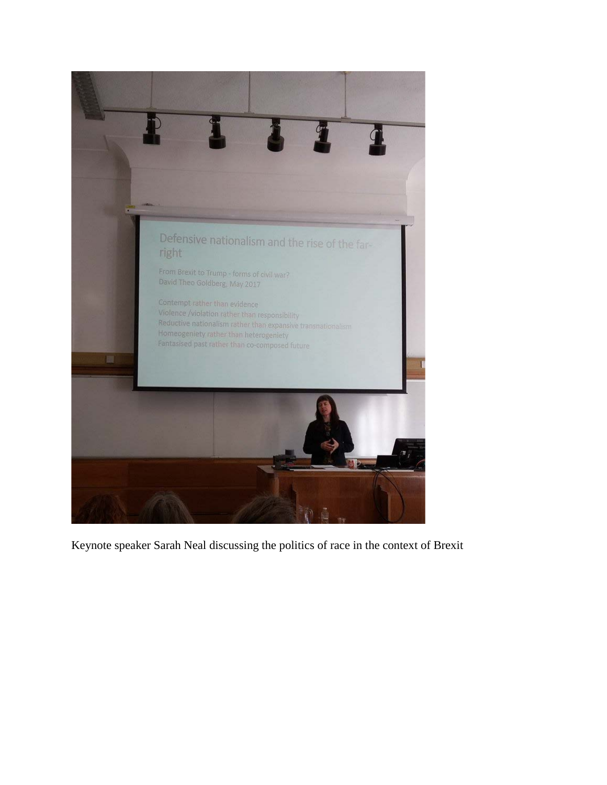

Keynote speaker Sarah Neal discussing the politics of race in the context of Brexit